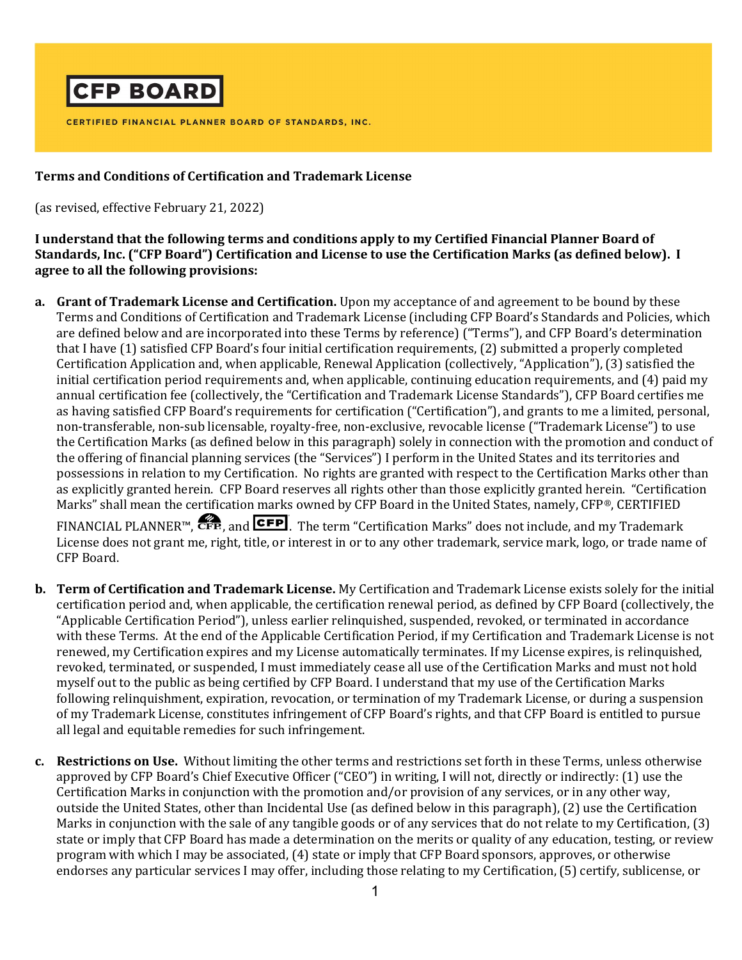

CERTIFIED FINANCIAL PLANNER BOARD OF STANDARDS, INC.

## Terms and Conditions of Certification and Trademark License

(as revised, effective February 21, 2022)

## I understand that the following terms and conditions apply to my Certified Financial Planner Board of Standards, Inc. ("CFP Board") Certification and License to use the Certification Marks (as defined below). I agree to all the following provisions:

- a. Grant of Trademark License and Certification. Upon my acceptance of and agreement to be bound by these Terms and Conditions of Certification and Trademark License (including CFP Board's Standards and Policies, which are defined below and are incorporated into these Terms by reference) ("Terms"), and CFP Board's determination that I have (1) satisfied CFP Board's four initial certification requirements, (2) submitted a properly completed Certification Application and, when applicable, Renewal Application (collectively, "Application"), (3) satisfied the initial certification period requirements and, when applicable, continuing education requirements, and (4) paid my annual certification fee (collectively, the "Certification and Trademark License Standards"), CFP Board certifies me as having satisfied CFP Board's requirements for certification ("Certification"), and grants to me a limited, personal, non-transferable, non-sub licensable, royalty-free, non-exclusive, revocable license ("Trademark License") to use the Certification Marks (as defined below in this paragraph) solely in connection with the promotion and conduct of the offering of financial planning services (the "Services") I perform in the United States and its territories and possessions in relation to my Certification. No rights are granted with respect to the Certification Marks other than as explicitly granted herein. CFP Board reserves all rights other than those explicitly granted herein. "Certification Marks" shall mean the certification marks owned by CFP Board in the United States, namely, CFP®, CERTIFIED FINANCIAL PLANNER™,  $\bullet$ FE, and CFP. The term "Certification Marks" does not include, and my Trademark License does not grant me, right, title, or interest in or to any other trademark, service mark, logo, or trade name of CFP Board.
- **b.** Term of Certification and Trademark License. My Certification and Trademark License exists solely for the initial certification period and, when applicable, the certification renewal period, as defined by CFP Board (collectively, the "Applicable Certification Period"), unless earlier relinquished, suspended, revoked, or terminated in accordance with these Terms. At the end of the Applicable Certification Period, if my Certification and Trademark License is not renewed, my Certification expires and my License automatically terminates. If my License expires, is relinquished, revoked, terminated, or suspended, I must immediately cease all use of the Certification Marks and must not hold myself out to the public as being certified by CFP Board. I understand that my use of the Certification Marks following relinquishment, expiration, revocation, or termination of my Trademark License, or during a suspension of my Trademark License, constitutes infringement of CFP Board's rights, and that CFP Board is entitled to pursue all legal and equitable remedies for such infringement.
- c. Restrictions on Use. Without limiting the other terms and restrictions set forth in these Terms, unless otherwise approved by CFP Board's Chief Executive Officer ("CEO") in writing, I will not, directly or indirectly: (1) use the Certification Marks in conjunction with the promotion and/or provision of any services, or in any other way, outside the United States, other than Incidental Use (as defined below in this paragraph), (2) use the Certification Marks in conjunction with the sale of any tangible goods or of any services that do not relate to my Certification, (3) state or imply that CFP Board has made a determination on the merits or quality of any education, testing, or review program with which I may be associated, (4) state or imply that CFP Board sponsors, approves, or otherwise endorses any particular services I may offer, including those relating to my Certification, (5) certify, sublicense, or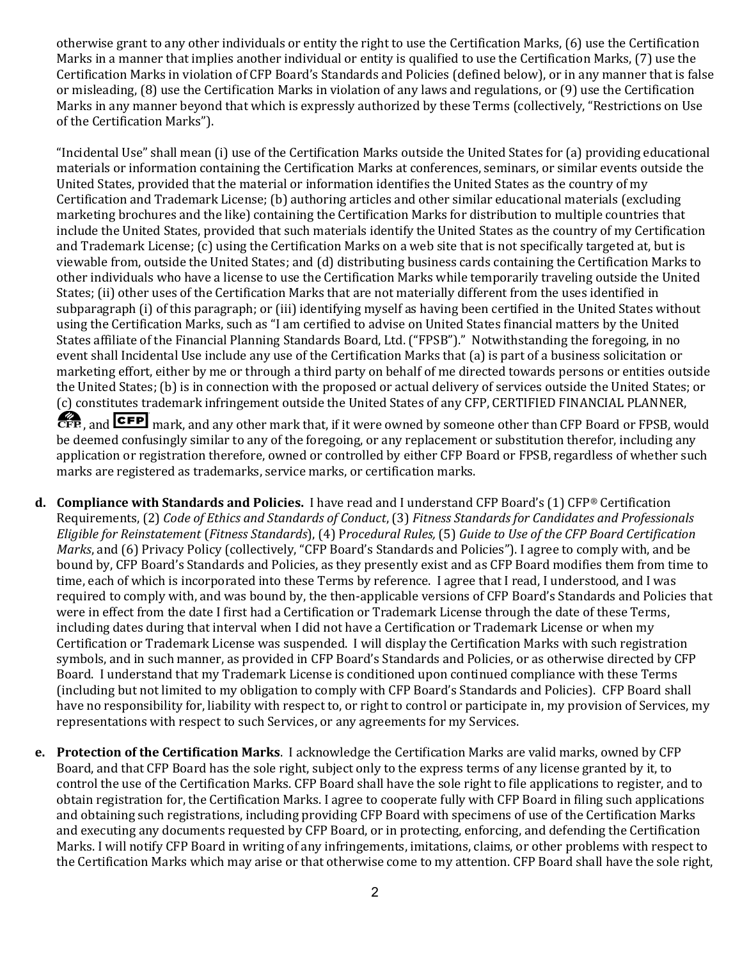otherwise grant to any other individuals or entity the right to use the Certification Marks, (6) use the Certification Marks in a manner that implies another individual or entity is qualified to use the Certification Marks, (7) use the Certification Marks in violation of CFP Board's Standards and Policies (defined below), or in any manner that is false or misleading, (8) use the Certification Marks in violation of any laws and regulations, or (9) use the Certification Marks in any manner beyond that which is expressly authorized by these Terms (collectively, "Restrictions on Use of the Certification Marks").

"Incidental Use" shall mean (i) use of the Certification Marks outside the United States for (a) providing educational materials or information containing the Certification Marks at conferences, seminars, or similar events outside the United States, provided that the material or information identifies the United States as the country of my Certification and Trademark License; (b) authoring articles and other similar educational materials (excluding marketing brochures and the like) containing the Certification Marks for distribution to multiple countries that include the United States, provided that such materials identify the United States as the country of my Certification and Trademark License; (c) using the Certification Marks on a web site that is not specifically targeted at, but is viewable from, outside the United States; and (d) distributing business cards containing the Certification Marks to other individuals who have a license to use the Certification Marks while temporarily traveling outside the United States; (ii) other uses of the Certification Marks that are not materially different from the uses identified in subparagraph (i) of this paragraph; or (iii) identifying myself as having been certified in the United States without using the Certification Marks, such as "I am certified to advise on United States financial matters by the United States affiliate of the Financial Planning Standards Board, Ltd. ("FPSB")." Notwithstanding the foregoing, in no event shall Incidental Use include any use of the Certification Marks that (a) is part of a business solicitation or marketing effort, either by me or through a third party on behalf of me directed towards persons or entities outside the United States; (b) is in connection with the proposed or actual delivery of services outside the United States; or (c) constitutes trademark infringement outside the United States of any CFP, CERTIFIED FINANCIAL PLANNER,

GFP, and **CFP** mark, and any other mark that, if it were owned by someone other than CFP Board or FPSB, would be deemed confusingly similar to any of the foregoing, or any replacement or substitution therefor, including any application or registration therefore, owned or controlled by either CFP Board or FPSB, regardless of whether such marks are registered as trademarks, service marks, or certification marks.

- d. Compliance with Standards and Policies. I have read and I understand CFP Board's (1) CFP® Certification Requirements, (2) Code of Ethics and Standards of Conduct, (3) Fitness Standards for Candidates and Professionals Eligible for Reinstatement (Fitness Standards), (4) Procedural Rules, (5) Guide to Use of the CFP Board Certification Marks, and (6) Privacy Policy (collectively, "CFP Board's Standards and Policies"). I agree to comply with, and be bound by, CFP Board's Standards and Policies, as they presently exist and as CFP Board modifies them from time to time, each of which is incorporated into these Terms by reference. I agree that I read, I understood, and I was required to comply with, and was bound by, the then-applicable versions of CFP Board's Standards and Policies that were in effect from the date I first had a Certification or Trademark License through the date of these Terms, including dates during that interval when I did not have a Certification or Trademark License or when my Certification or Trademark License was suspended. I will display the Certification Marks with such registration symbols, and in such manner, as provided in CFP Board's Standards and Policies, or as otherwise directed by CFP Board. I understand that my Trademark License is conditioned upon continued compliance with these Terms (including but not limited to my obligation to comply with CFP Board's Standards and Policies). CFP Board shall have no responsibility for, liability with respect to, or right to control or participate in, my provision of Services, my representations with respect to such Services, or any agreements for my Services.
- e. Protection of the Certification Marks. I acknowledge the Certification Marks are valid marks, owned by CFP Board, and that CFP Board has the sole right, subject only to the express terms of any license granted by it, to control the use of the Certification Marks. CFP Board shall have the sole right to file applications to register, and to obtain registration for, the Certification Marks. I agree to cooperate fully with CFP Board in filing such applications and obtaining such registrations, including providing CFP Board with specimens of use of the Certification Marks and executing any documents requested by CFP Board, or in protecting, enforcing, and defending the Certification Marks. I will notify CFP Board in writing of any infringements, imitations, claims, or other problems with respect to the Certification Marks which may arise or that otherwise come to my attention. CFP Board shall have the sole right,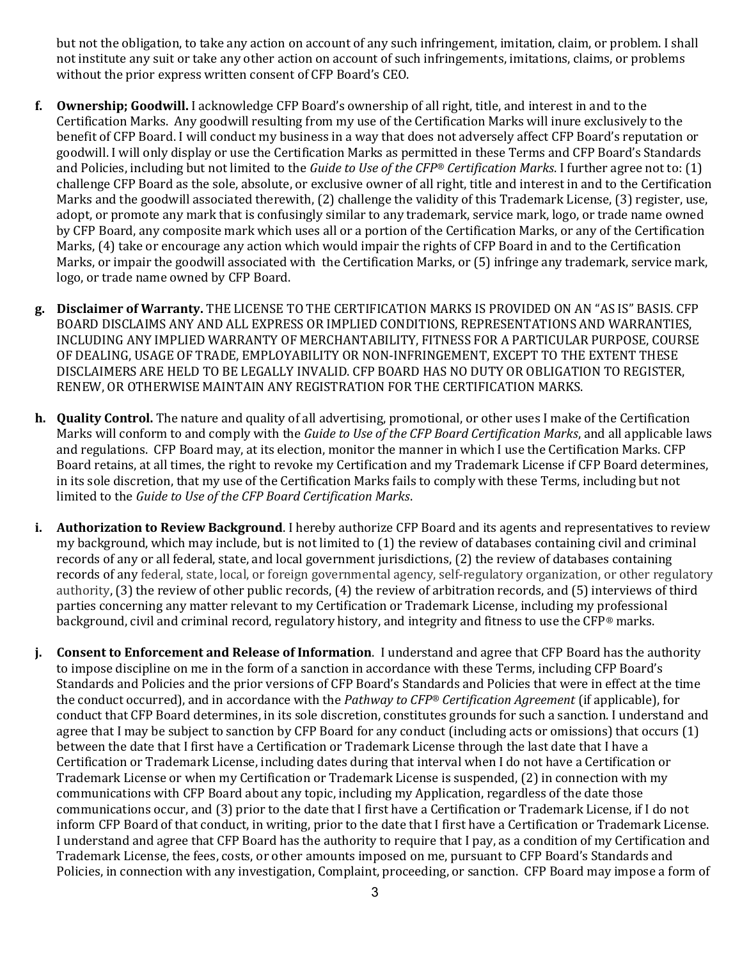but not the obligation, to take any action on account of any such infringement, imitation, claim, or problem. I shall not institute any suit or take any other action on account of such infringements, imitations, claims, or problems without the prior express written consent of CFP Board's CEO.

- f. Ownership; Goodwill. I acknowledge CFP Board's ownership of all right, title, and interest in and to the Certification Marks. Any goodwill resulting from my use of the Certification Marks will inure exclusively to the benefit of CFP Board. I will conduct my business in a way that does not adversely affect CFP Board's reputation or goodwill. I will only display or use the Certification Marks as permitted in these Terms and CFP Board's Standards and Policies, including but not limited to the Guide to Use of the CFP® Certification Marks. I further agree not to:  $(1)$ challenge CFP Board as the sole, absolute, or exclusive owner of all right, title and interest in and to the Certification Marks and the goodwill associated therewith, (2) challenge the validity of this Trademark License, (3) register, use, adopt, or promote any mark that is confusingly similar to any trademark, service mark, logo, or trade name owned by CFP Board, any composite mark which uses all or a portion of the Certification Marks, or any of the Certification Marks, (4) take or encourage any action which would impair the rights of CFP Board in and to the Certification Marks, or impair the goodwill associated with the Certification Marks, or (5) infringe any trademark, service mark, logo, or trade name owned by CFP Board.
- g. Disclaimer of Warranty. THE LICENSE TO THE CERTIFICATION MARKS IS PROVIDED ON AN "AS IS" BASIS. CFP BOARD DISCLAIMS ANY AND ALL EXPRESS OR IMPLIED CONDITIONS, REPRESENTATIONS AND WARRANTIES, INCLUDING ANY IMPLIED WARRANTY OF MERCHANTABILITY, FITNESS FOR A PARTICULAR PURPOSE, COURSE OF DEALING, USAGE OF TRADE, EMPLOYABILITY OR NON-INFRINGEMENT, EXCEPT TO THE EXTENT THESE DISCLAIMERS ARE HELD TO BE LEGALLY INVALID. CFP BOARD HAS NO DUTY OR OBLIGATION TO REGISTER, RENEW, OR OTHERWISE MAINTAIN ANY REGISTRATION FOR THE CERTIFICATION MARKS.
- h. Quality Control. The nature and quality of all advertising, promotional, or other uses I make of the Certification Marks will conform to and comply with the Guide to Use of the CFP Board Certification Marks, and all applicable laws and regulations. CFP Board may, at its election, monitor the manner in which I use the Certification Marks. CFP Board retains, at all times, the right to revoke my Certification and my Trademark License if CFP Board determines, in its sole discretion, that my use of the Certification Marks fails to comply with these Terms, including but not limited to the Guide to Use of the CFP Board Certification Marks.
- i. Authorization to Review Background. I hereby authorize CFP Board and its agents and representatives to review my background, which may include, but is not limited to (1) the review of databases containing civil and criminal records of any or all federal, state, and local government jurisdictions, (2) the review of databases containing records of any federal, state, local, or foreign governmental agency, self-regulatory organization, or other regulatory authority, (3) the review of other public records, (4) the review of arbitration records, and (5) interviews of third parties concerning any matter relevant to my Certification or Trademark License, including my professional background, civil and criminal record, regulatory history, and integrity and fitness to use the CFP® marks.
- j. Consent to Enforcement and Release of Information. I understand and agree that CFP Board has the authority to impose discipline on me in the form of a sanction in accordance with these Terms, including CFP Board's Standards and Policies and the prior versions of CFP Board's Standards and Policies that were in effect at the time the conduct occurred), and in accordance with the Pathway to CFP® Certification Agreement (if applicable), for conduct that CFP Board determines, in its sole discretion, constitutes grounds for such a sanction. I understand and agree that I may be subject to sanction by CFP Board for any conduct (including acts or omissions) that occurs (1) between the date that I first have a Certification or Trademark License through the last date that I have a Certification or Trademark License, including dates during that interval when I do not have a Certification or Trademark License or when my Certification or Trademark License is suspended, (2) in connection with my communications with CFP Board about any topic, including my Application, regardless of the date those communications occur, and (3) prior to the date that I first have a Certification or Trademark License, if I do not inform CFP Board of that conduct, in writing, prior to the date that I first have a Certification or Trademark License. I understand and agree that CFP Board has the authority to require that I pay, as a condition of my Certification and Trademark License, the fees, costs, or other amounts imposed on me, pursuant to CFP Board's Standards and Policies, in connection with any investigation, Complaint, proceeding, or sanction. CFP Board may impose a form of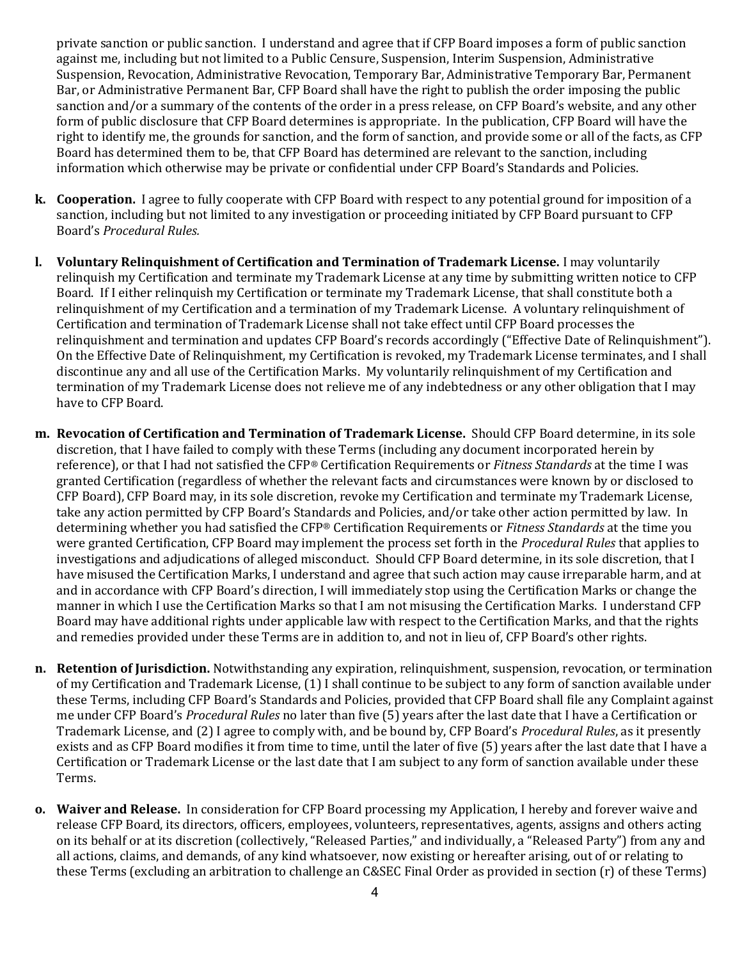private sanction or public sanction. I understand and agree that if CFP Board imposes a form of public sanction against me, including but not limited to a Public Censure, Suspension, Interim Suspension, Administrative Suspension, Revocation, Administrative Revocation, Temporary Bar, Administrative Temporary Bar, Permanent Bar, or Administrative Permanent Bar, CFP Board shall have the right to publish the order imposing the public sanction and/or a summary of the contents of the order in a press release, on CFP Board's website, and any other form of public disclosure that CFP Board determines is appropriate. In the publication, CFP Board will have the right to identify me, the grounds for sanction, and the form of sanction, and provide some or all of the facts, as CFP Board has determined them to be, that CFP Board has determined are relevant to the sanction, including information which otherwise may be private or confidential under CFP Board's Standards and Policies.

- k. Cooperation. I agree to fully cooperate with CFP Board with respect to any potential ground for imposition of a sanction, including but not limited to any investigation or proceeding initiated by CFP Board pursuant to CFP Board's Procedural Rules.
- l. Voluntary Relinquishment of Certification and Termination of Trademark License. I may voluntarily relinquish my Certification and terminate my Trademark License at any time by submitting written notice to CFP Board. If I either relinquish my Certification or terminate my Trademark License, that shall constitute both a relinquishment of my Certification and a termination of my Trademark License. A voluntary relinquishment of Certification and termination of Trademark License shall not take effect until CFP Board processes the relinquishment and termination and updates CFP Board's records accordingly ("Effective Date of Relinquishment"). On the Effective Date of Relinquishment, my Certification is revoked, my Trademark License terminates, and I shall discontinue any and all use of the Certification Marks. My voluntarily relinquishment of my Certification and termination of my Trademark License does not relieve me of any indebtedness or any other obligation that I may have to CFP Board.
- m. Revocation of Certification and Termination of Trademark License. Should CFP Board determine, in its sole discretion, that I have failed to comply with these Terms (including any document incorporated herein by reference), or that I had not satisfied the CFP® Certification Requirements or Fitness Standards at the time I was granted Certification (regardless of whether the relevant facts and circumstances were known by or disclosed to CFP Board), CFP Board may, in its sole discretion, revoke my Certification and terminate my Trademark License, take any action permitted by CFP Board's Standards and Policies, and/or take other action permitted by law. In determining whether you had satisfied the CFP® Certification Requirements or *Fitness Standards* at the time you were granted Certification, CFP Board may implement the process set forth in the *Procedural Rules* that applies to investigations and adjudications of alleged misconduct. Should CFP Board determine, in its sole discretion, that I have misused the Certification Marks, I understand and agree that such action may cause irreparable harm, and at and in accordance with CFP Board's direction, I will immediately stop using the Certification Marks or change the manner in which I use the Certification Marks so that I am not misusing the Certification Marks. I understand CFP Board may have additional rights under applicable law with respect to the Certification Marks, and that the rights and remedies provided under these Terms are in addition to, and not in lieu of, CFP Board's other rights.
- n. Retention of Jurisdiction. Notwithstanding any expiration, relinquishment, suspension, revocation, or termination of my Certification and Trademark License, (1) I shall continue to be subject to any form of sanction available under these Terms, including CFP Board's Standards and Policies, provided that CFP Board shall file any Complaint against me under CFP Board's *Procedural Rules* no later than five (5) years after the last date that I have a Certification or Trademark License, and (2) I agree to comply with, and be bound by, CFP Board's Procedural Rules, as it presently exists and as CFP Board modifies it from time to time, until the later of five (5) years after the last date that I have a Certification or Trademark License or the last date that I am subject to any form of sanction available under these Terms.
- o. Waiver and Release. In consideration for CFP Board processing my Application, I hereby and forever waive and release CFP Board, its directors, officers, employees, volunteers, representatives, agents, assigns and others acting on its behalf or at its discretion (collectively, "Released Parties," and individually, a "Released Party") from any and all actions, claims, and demands, of any kind whatsoever, now existing or hereafter arising, out of or relating to these Terms (excluding an arbitration to challenge an C&SEC Final Order as provided in section (r) of these Terms)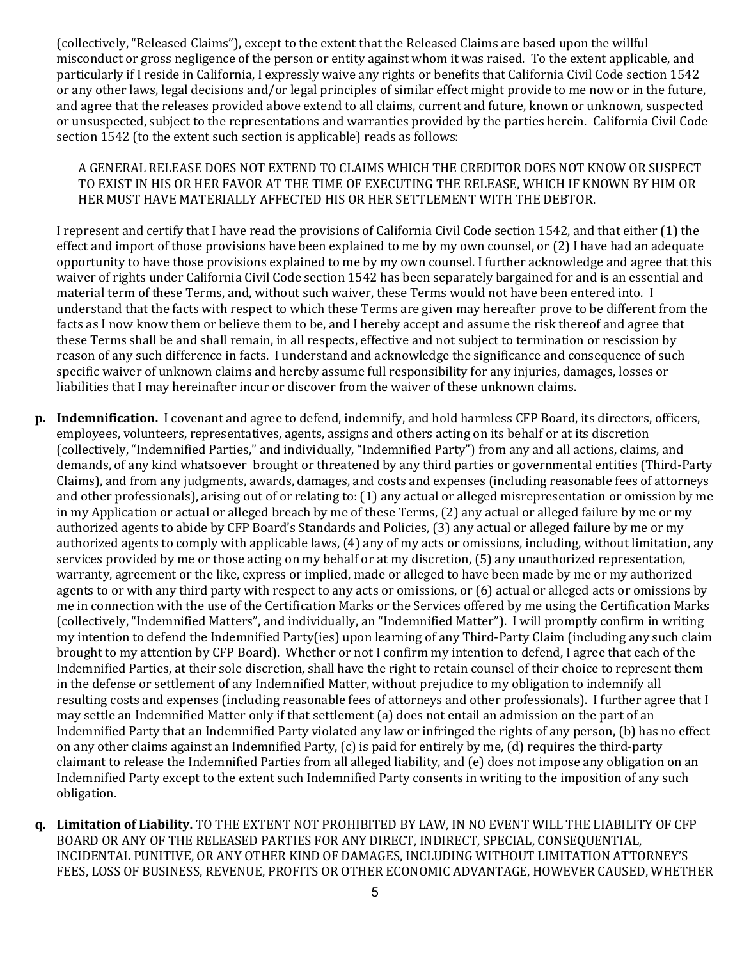(collectively, "Released Claims"), except to the extent that the Released Claims are based upon the willful misconduct or gross negligence of the person or entity against whom it was raised. To the extent applicable, and particularly if I reside in California, I expressly waive any rights or benefits that California Civil Code section 1542 or any other laws, legal decisions and/or legal principles of similar effect might provide to me now or in the future, and agree that the releases provided above extend to all claims, current and future, known or unknown, suspected or unsuspected, subject to the representations and warranties provided by the parties herein. California Civil Code section 1542 (to the extent such section is applicable) reads as follows:

## A GENERAL RELEASE DOES NOT EXTEND TO CLAIMS WHICH THE CREDITOR DOES NOT KNOW OR SUSPECT TO EXIST IN HIS OR HER FAVOR AT THE TIME OF EXECUTING THE RELEASE, WHICH IF KNOWN BY HIM OR HER MUST HAVE MATERIALLY AFFECTED HIS OR HER SETTLEMENT WITH THE DEBTOR.

I represent and certify that I have read the provisions of California Civil Code section 1542, and that either (1) the effect and import of those provisions have been explained to me by my own counsel, or (2) I have had an adequate opportunity to have those provisions explained to me by my own counsel. I further acknowledge and agree that this waiver of rights under California Civil Code section 1542 has been separately bargained for and is an essential and material term of these Terms, and, without such waiver, these Terms would not have been entered into. I understand that the facts with respect to which these Terms are given may hereafter prove to be different from the facts as I now know them or believe them to be, and I hereby accept and assume the risk thereof and agree that these Terms shall be and shall remain, in all respects, effective and not subject to termination or rescission by reason of any such difference in facts. I understand and acknowledge the significance and consequence of such specific waiver of unknown claims and hereby assume full responsibility for any injuries, damages, losses or liabilities that I may hereinafter incur or discover from the waiver of these unknown claims.

- p. Indemnification. I covenant and agree to defend, indemnify, and hold harmless CFP Board, its directors, officers, employees, volunteers, representatives, agents, assigns and others acting on its behalf or at its discretion (collectively, "Indemnified Parties," and individually, "Indemnified Party") from any and all actions, claims, and demands, of any kind whatsoever brought or threatened by any third parties or governmental entities (Third-Party Claims), and from any judgments, awards, damages, and costs and expenses (including reasonable fees of attorneys and other professionals), arising out of or relating to: (1) any actual or alleged misrepresentation or omission by me in my Application or actual or alleged breach by me of these Terms, (2) any actual or alleged failure by me or my authorized agents to abide by CFP Board's Standards and Policies, (3) any actual or alleged failure by me or my authorized agents to comply with applicable laws, (4) any of my acts or omissions, including, without limitation, any services provided by me or those acting on my behalf or at my discretion, (5) any unauthorized representation, warranty, agreement or the like, express or implied, made or alleged to have been made by me or my authorized agents to or with any third party with respect to any acts or omissions, or (6) actual or alleged acts or omissions by me in connection with the use of the Certification Marks or the Services offered by me using the Certification Marks (collectively, "Indemnified Matters", and individually, an "Indemnified Matter"). I will promptly confirm in writing my intention to defend the Indemnified Party(ies) upon learning of any Third-Party Claim (including any such claim brought to my attention by CFP Board). Whether or not I confirm my intention to defend, I agree that each of the Indemnified Parties, at their sole discretion, shall have the right to retain counsel of their choice to represent them in the defense or settlement of any Indemnified Matter, without prejudice to my obligation to indemnify all resulting costs and expenses (including reasonable fees of attorneys and other professionals). I further agree that I may settle an Indemnified Matter only if that settlement (a) does not entail an admission on the part of an Indemnified Party that an Indemnified Party violated any law or infringed the rights of any person, (b) has no effect on any other claims against an Indemnified Party, (c) is paid for entirely by me, (d) requires the third-party claimant to release the Indemnified Parties from all alleged liability, and (e) does not impose any obligation on an Indemnified Party except to the extent such Indemnified Party consents in writing to the imposition of any such obligation.
- q. Limitation of Liability. TO THE EXTENT NOT PROHIBITED BY LAW, IN NO EVENT WILL THE LIABILITY OF CFP BOARD OR ANY OF THE RELEASED PARTIES FOR ANY DIRECT, INDIRECT, SPECIAL, CONSEQUENTIAL, INCIDENTAL PUNITIVE, OR ANY OTHER KIND OF DAMAGES, INCLUDING WITHOUT LIMITATION ATTORNEY'S FEES, LOSS OF BUSINESS, REVENUE, PROFITS OR OTHER ECONOMIC ADVANTAGE, HOWEVER CAUSED, WHETHER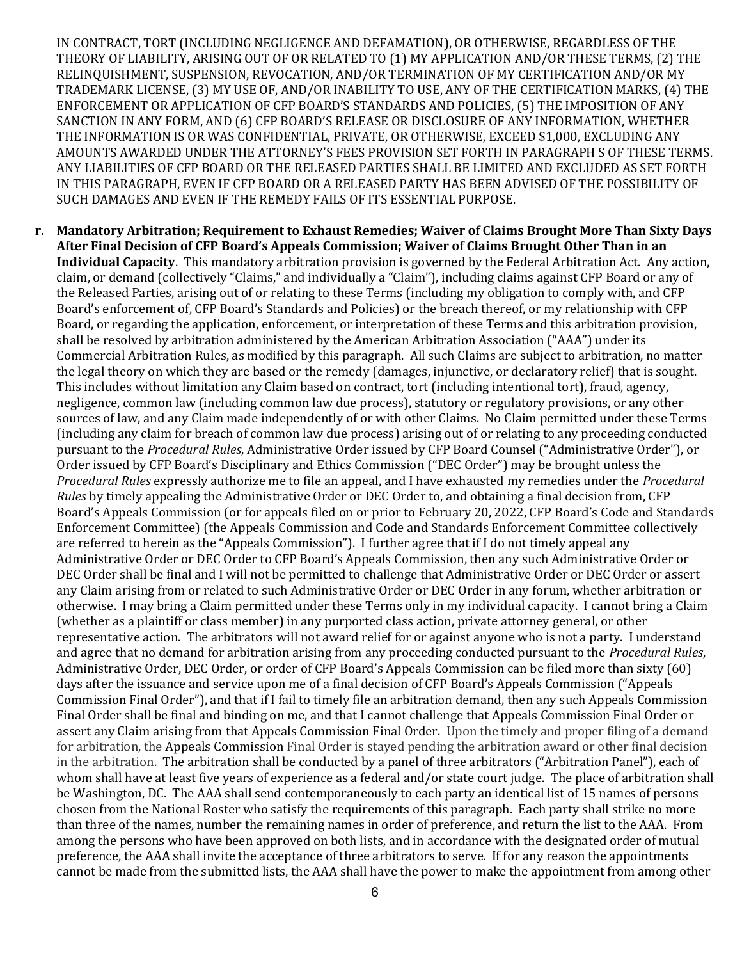IN CONTRACT, TORT (INCLUDING NEGLIGENCE AND DEFAMATION), OR OTHERWISE, REGARDLESS OF THE THEORY OF LIABILITY, ARISING OUT OF OR RELATED TO (1) MY APPLICATION AND/OR THESE TERMS, (2) THE RELINQUISHMENT, SUSPENSION, REVOCATION, AND/OR TERMINATION OF MY CERTIFICATION AND/OR MY TRADEMARK LICENSE, (3) MY USE OF, AND/OR INABILITY TO USE, ANY OF THE CERTIFICATION MARKS, (4) THE ENFORCEMENT OR APPLICATION OF CFP BOARD'S STANDARDS AND POLICIES, (5) THE IMPOSITION OF ANY SANCTION IN ANY FORM, AND (6) CFP BOARD'S RELEASE OR DISCLOSURE OF ANY INFORMATION, WHETHER THE INFORMATION IS OR WAS CONFIDENTIAL, PRIVATE, OR OTHERWISE, EXCEED \$1,000, EXCLUDING ANY AMOUNTS AWARDED UNDER THE ATTORNEY'S FEES PROVISION SET FORTH IN PARAGRAPH S OF THESE TERMS. ANY LIABILITIES OF CFP BOARD OR THE RELEASED PARTIES SHALL BE LIMITED AND EXCLUDED AS SET FORTH IN THIS PARAGRAPH, EVEN IF CFP BOARD OR A RELEASED PARTY HAS BEEN ADVISED OF THE POSSIBILITY OF SUCH DAMAGES AND EVEN IF THE REMEDY FAILS OF ITS ESSENTIAL PURPOSE.

r. Mandatory Arbitration; Requirement to Exhaust Remedies; Waiver of Claims Brought More Than Sixty Days After Final Decision of CFP Board's Appeals Commission; Waiver of Claims Brought Other Than in an Individual Capacity. This mandatory arbitration provision is governed by the Federal Arbitration Act. Any action, claim, or demand (collectively "Claims," and individually a "Claim"), including claims against CFP Board or any of the Released Parties, arising out of or relating to these Terms (including my obligation to comply with, and CFP Board's enforcement of, CFP Board's Standards and Policies) or the breach thereof, or my relationship with CFP Board, or regarding the application, enforcement, or interpretation of these Terms and this arbitration provision, shall be resolved by arbitration administered by the American Arbitration Association ("AAA") under its Commercial Arbitration Rules, as modified by this paragraph. All such Claims are subject to arbitration, no matter the legal theory on which they are based or the remedy (damages, injunctive, or declaratory relief) that is sought. This includes without limitation any Claim based on contract, tort (including intentional tort), fraud, agency, negligence, common law (including common law due process), statutory or regulatory provisions, or any other sources of law, and any Claim made independently of or with other Claims. No Claim permitted under these Terms (including any claim for breach of common law due process) arising out of or relating to any proceeding conducted pursuant to the Procedural Rules, Administrative Order issued by CFP Board Counsel ("Administrative Order"), or Order issued by CFP Board's Disciplinary and Ethics Commission ("DEC Order") may be brought unless the Procedural Rules expressly authorize me to file an appeal, and I have exhausted my remedies under the Procedural Rules by timely appealing the Administrative Order or DEC Order to, and obtaining a final decision from, CFP Board's Appeals Commission (or for appeals filed on or prior to February 20, 2022, CFP Board's Code and Standards Enforcement Committee) (the Appeals Commission and Code and Standards Enforcement Committee collectively are referred to herein as the "Appeals Commission"). I further agree that if I do not timely appeal any Administrative Order or DEC Order to CFP Board's Appeals Commission, then any such Administrative Order or DEC Order shall be final and I will not be permitted to challenge that Administrative Order or DEC Order or assert any Claim arising from or related to such Administrative Order or DEC Order in any forum, whether arbitration or otherwise. I may bring a Claim permitted under these Terms only in my individual capacity. I cannot bring a Claim (whether as a plaintiff or class member) in any purported class action, private attorney general, or other representative action. The arbitrators will not award relief for or against anyone who is not a party. I understand and agree that no demand for arbitration arising from any proceeding conducted pursuant to the Procedural Rules, Administrative Order, DEC Order, or order of CFP Board's Appeals Commission can be filed more than sixty (60) days after the issuance and service upon me of a final decision of CFP Board's Appeals Commission ("Appeals Commission Final Order"), and that if I fail to timely file an arbitration demand, then any such Appeals Commission Final Order shall be final and binding on me, and that I cannot challenge that Appeals Commission Final Order or assert any Claim arising from that Appeals Commission Final Order. Upon the timely and proper filing of a demand for arbitration, the Appeals Commission Final Order is stayed pending the arbitration award or other final decision in the arbitration. The arbitration shall be conducted by a panel of three arbitrators ("Arbitration Panel"), each of whom shall have at least five years of experience as a federal and/or state court judge. The place of arbitration shall be Washington, DC. The AAA shall send contemporaneously to each party an identical list of 15 names of persons chosen from the National Roster who satisfy the requirements of this paragraph. Each party shall strike no more than three of the names, number the remaining names in order of preference, and return the list to the AAA. From among the persons who have been approved on both lists, and in accordance with the designated order of mutual preference, the AAA shall invite the acceptance of three arbitrators to serve. If for any reason the appointments cannot be made from the submitted lists, the AAA shall have the power to make the appointment from among other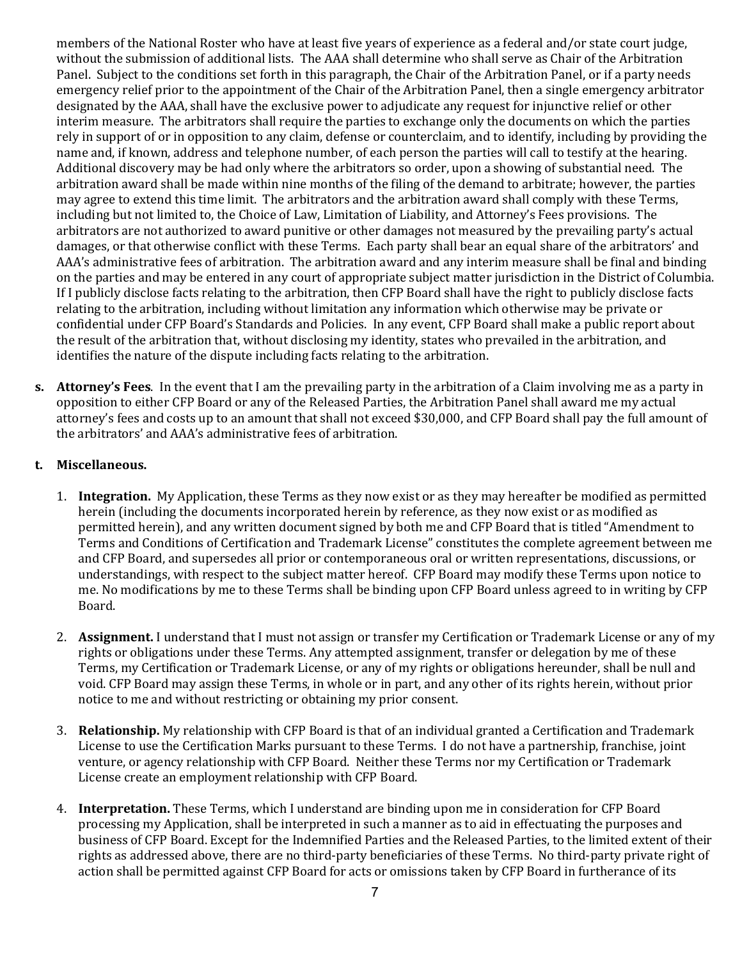members of the National Roster who have at least five years of experience as a federal and/or state court judge, without the submission of additional lists. The AAA shall determine who shall serve as Chair of the Arbitration Panel. Subject to the conditions set forth in this paragraph, the Chair of the Arbitration Panel, or if a party needs emergency relief prior to the appointment of the Chair of the Arbitration Panel, then a single emergency arbitrator designated by the AAA, shall have the exclusive power to adjudicate any request for injunctive relief or other interim measure. The arbitrators shall require the parties to exchange only the documents on which the parties rely in support of or in opposition to any claim, defense or counterclaim, and to identify, including by providing the name and, if known, address and telephone number, of each person the parties will call to testify at the hearing. Additional discovery may be had only where the arbitrators so order, upon a showing of substantial need. The arbitration award shall be made within nine months of the filing of the demand to arbitrate; however, the parties may agree to extend this time limit. The arbitrators and the arbitration award shall comply with these Terms, including but not limited to, the Choice of Law, Limitation of Liability, and Attorney's Fees provisions. The arbitrators are not authorized to award punitive or other damages not measured by the prevailing party's actual damages, or that otherwise conflict with these Terms. Each party shall bear an equal share of the arbitrators' and AAA's administrative fees of arbitration. The arbitration award and any interim measure shall be final and binding on the parties and may be entered in any court of appropriate subject matter jurisdiction in the District of Columbia. If I publicly disclose facts relating to the arbitration, then CFP Board shall have the right to publicly disclose facts relating to the arbitration, including without limitation any information which otherwise may be private or confidential under CFP Board's Standards and Policies. In any event, CFP Board shall make a public report about the result of the arbitration that, without disclosing my identity, states who prevailed in the arbitration, and identifies the nature of the dispute including facts relating to the arbitration.

s. Attorney's Fees. In the event that I am the prevailing party in the arbitration of a Claim involving me as a party in opposition to either CFP Board or any of the Released Parties, the Arbitration Panel shall award me my actual attorney's fees and costs up to an amount that shall not exceed \$30,000, and CFP Board shall pay the full amount of the arbitrators' and AAA's administrative fees of arbitration.

## t. Miscellaneous.

- 1. Integration. My Application, these Terms as they now exist or as they may hereafter be modified as permitted herein (including the documents incorporated herein by reference, as they now exist or as modified as permitted herein), and any written document signed by both me and CFP Board that is titled "Amendment to Terms and Conditions of Certification and Trademark License" constitutes the complete agreement between me and CFP Board, and supersedes all prior or contemporaneous oral or written representations, discussions, or understandings, with respect to the subject matter hereof. CFP Board may modify these Terms upon notice to me. No modifications by me to these Terms shall be binding upon CFP Board unless agreed to in writing by CFP Board.
- 2. Assignment. I understand that I must not assign or transfer my Certification or Trademark License or any of my rights or obligations under these Terms. Any attempted assignment, transfer or delegation by me of these Terms, my Certification or Trademark License, or any of my rights or obligations hereunder, shall be null and void. CFP Board may assign these Terms, in whole or in part, and any other of its rights herein, without prior notice to me and without restricting or obtaining my prior consent.
- 3. Relationship. My relationship with CFP Board is that of an individual granted a Certification and Trademark License to use the Certification Marks pursuant to these Terms. I do not have a partnership, franchise, joint venture, or agency relationship with CFP Board. Neither these Terms nor my Certification or Trademark License create an employment relationship with CFP Board.
- 4. Interpretation. These Terms, which I understand are binding upon me in consideration for CFP Board processing my Application, shall be interpreted in such a manner as to aid in effectuating the purposes and business of CFP Board. Except for the Indemnified Parties and the Released Parties, to the limited extent of their rights as addressed above, there are no third-party beneficiaries of these Terms. No third-party private right of action shall be permitted against CFP Board for acts or omissions taken by CFP Board in furtherance of its